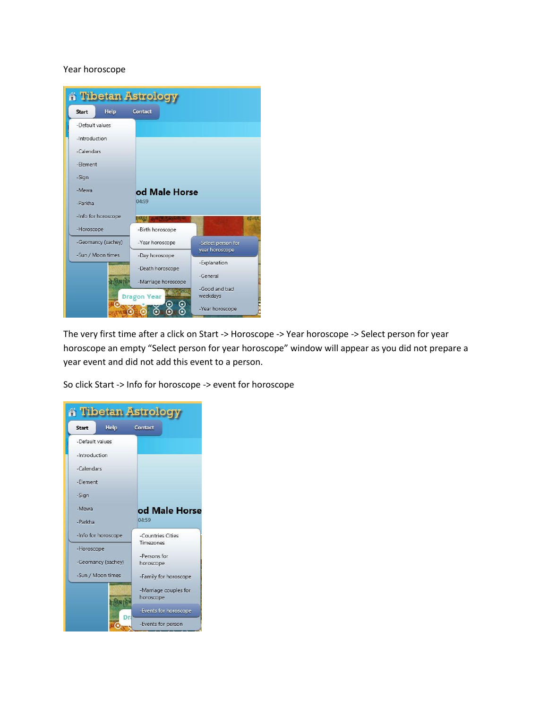### Year horoscope



The very first time after a click on Start -> Horoscope -> Year horoscope -> Select person for year horoscope an empty "Select person for year horoscope" window will appear as you did not prepare a year event and did not add this event to a person.

So click Start -> Info for horoscope -> event for horoscope

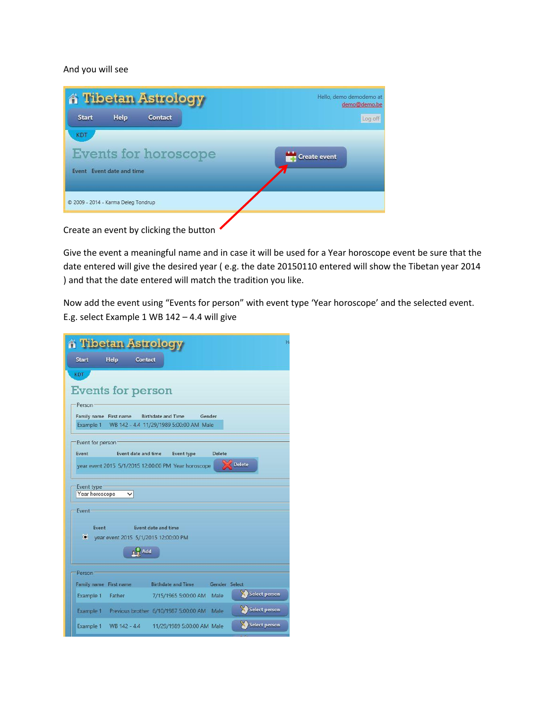### And you will see

|                                     |                           | <b>A Tibetan Astrology</b>  |  |                     | Hello, demo demodemo at<br>demo@demo.be |
|-------------------------------------|---------------------------|-----------------------------|--|---------------------|-----------------------------------------|
| <b>Start</b>                        | Help                      | Contact                     |  |                     | Log off                                 |
| KDT                                 |                           |                             |  |                     |                                         |
|                                     |                           | <b>Events for horoscope</b> |  | <b>Create event</b> |                                         |
|                                     | Event Event date and time |                             |  |                     |                                         |
|                                     |                           |                             |  |                     |                                         |
| © 2009 - 2014 - Karma Deleg Tondrup |                           |                             |  |                     |                                         |
|                                     |                           |                             |  |                     |                                         |

Create an event by clicking the button

Give the event a meaningful name and in case it will be used for a Year horoscope event be sure that the date entered will give the desired year ( e.g. the date 20150110 entered will show the Tibetan year 2014 ) and that the date entered will match the tradition you like.

Now add the event using "Events for person" with event type 'Year horoscope' and the selected event. E.g. select Example 1 WB 142 – 4.4 will give

| <b>A Tibetan Astrology</b>                                                                                         |
|--------------------------------------------------------------------------------------------------------------------|
| Start<br>Help Contact                                                                                              |
| <b>KDT</b>                                                                                                         |
| Events for person                                                                                                  |
| Person:                                                                                                            |
| <b>Birthdate and Time</b><br>Gender<br>Family name First name<br>Example 1 WB 142 - 4.4 11/29/1989 5:00:00 AM Male |
|                                                                                                                    |
| Event for person<br>Event<br>Event date and time<br>Event type<br>Delete                                           |
| <b>Delete</b><br>year event 2015 5/1/2015 12:00:00 PM Year horoscope                                               |
|                                                                                                                    |
| Event type:<br>Year horoscope<br>$\checkmark$                                                                      |
| Event-                                                                                                             |
|                                                                                                                    |
| Event<br>Event date and time<br>vear event 2015 5/1/2015 12:00:00 PM                                               |
| $\mathbb{R}^2$ Add                                                                                                 |
|                                                                                                                    |
| Person-                                                                                                            |
| <b>Birthdate and Time</b><br>Family name First name<br>Gender Select<br>Select person                              |
| Example 1 Father<br>7/15/1965 5:00:00 AM Male                                                                      |
| Select person<br>Example 1 Previous brother 6/10/1987 5:00:00 AM Male                                              |
| Select person<br>Example 1 WB 142 - 4.4 11/29/1989 5:00:00 AM Male                                                 |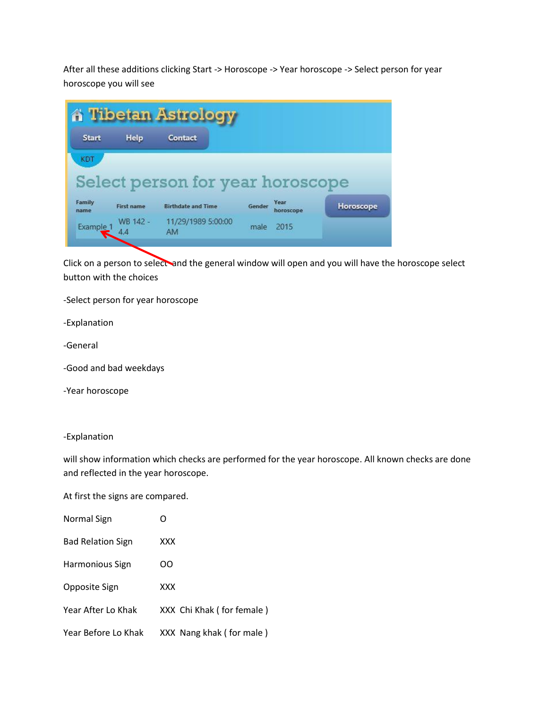After all these additions clicking Start -> Horoscope -> Year horoscope -> Select person for year horoscope you will see

| <b>Start</b>   | Help              | Contact                          |        |                          |           |
|----------------|-------------------|----------------------------------|--------|--------------------------|-----------|
| KDT            |                   |                                  |        |                          |           |
|                |                   |                                  |        |                          |           |
|                |                   |                                  |        |                          |           |
|                |                   | Select person for year horoscope |        |                          |           |
| Family<br>name | <b>First name</b> | <b>Birthdate and Time</b>        | Gender | <b>Year</b><br>horoscope | Horoscope |

Click on a person to select and the general window will open and you will have the horoscope select button with the choices

-Select person for year horoscope

-Explanation

-General

-Good and bad weekdays

-Year horoscope

### -Explanation

will show information which checks are performed for the year horoscope. All known checks are done and reflected in the year horoscope.

At first the signs are compared.

| Normal Sign              |                           |
|--------------------------|---------------------------|
| <b>Bad Relation Sign</b> | <b>XXX</b>                |
| Harmonious Sign          | ററ                        |
| Opposite Sign            | XXX                       |
| Year After Lo Khak       | XXX Chi Khak (for female) |
| Year Before Lo Khak      | XXX Nang khak (for male)  |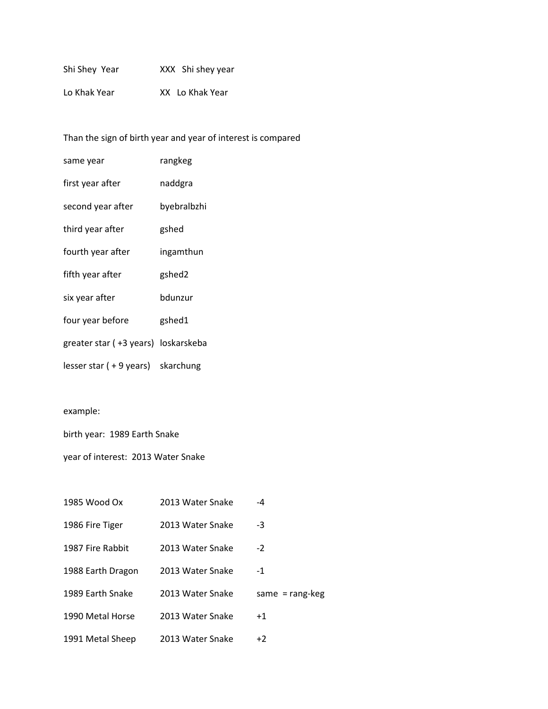| Shi Shey Year | XXX Shi shey year |
|---------------|-------------------|
| Lo Khak Year  | XX Lo Khak Year   |

Than the sign of birth year and year of interest is compared

| same year                           | rangkeg     |
|-------------------------------------|-------------|
| first year after                    | naddgra     |
| second year after                   | byebralbzhi |
| third year after                    | gshed       |
| fourth year after                   | ingamthun   |
| fifth year after                    | gshed2      |
| six year after                      | bdunzur     |
| four year before                    | gshed1      |
| greater star (+3 years) loskarskeba |             |
| lesser star (+9 years) skarchung    |             |

# example:

birth year: 1989 Earth Snake

year of interest: 2013 Water Snake

| 1985 Wood Ox      | 2013 Water Snake | $-4$                |
|-------------------|------------------|---------------------|
| 1986 Fire Tiger   | 2013 Water Snake | -3                  |
| 1987 Fire Rabbit  | 2013 Water Snake | $-2$                |
| 1988 Earth Dragon | 2013 Water Snake | $-1$                |
| 1989 Earth Snake  | 2013 Water Snake | same = $range$ -keg |
| 1990 Metal Horse  | 2013 Water Snake | $+1$                |
| 1991 Metal Sheep  | 2013 Water Snake | $+2$                |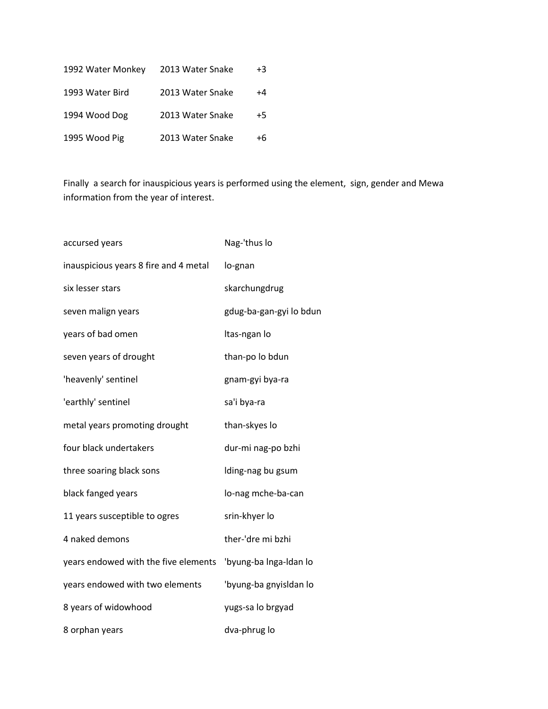| 1992 Water Monkey | 2013 Water Snake | +3   |
|-------------------|------------------|------|
| 1993 Water Bird   | 2013 Water Snake | +4   |
| 1994 Wood Dog     | 2013 Water Snake | $+5$ |
| 1995 Wood Pig     | 2013 Water Snake | +6   |

Finally a search for inauspicious years is performed using the element, sign, gender and Mewa information from the year of interest.

| accursed years                        | Nag-'thus lo            |
|---------------------------------------|-------------------------|
| inauspicious years 8 fire and 4 metal | lo-gnan                 |
| six lesser stars                      | skarchungdrug           |
| seven malign years                    | gdug-ba-gan-gyi lo bdun |
| years of bad omen                     | Itas-ngan lo            |
| seven years of drought                | than-po lo bdun         |
| 'heavenly' sentinel                   | gnam-gyi bya-ra         |
| 'earthly' sentinel                    | sa'i bya-ra             |
| metal years promoting drought         | than-skyes lo           |
| four black undertakers                | dur-mi nag-po bzhi      |
| three soaring black sons              | Iding-nag bu gsum       |
| black fanged years                    | lo-nag mche-ba-can      |
| 11 years susceptible to ogres         | srin-khyer lo           |
| 4 naked demons                        | ther-'dre mi bzhi       |
| years endowed with the five elements  | 'byung-ba Inga-Idan lo  |
| years endowed with two elements       | 'byung-ba gnyisldan lo  |
| 8 years of widowhood                  | yugs-sa lo brgyad       |
| 8 orphan years                        | dva-phrug lo            |